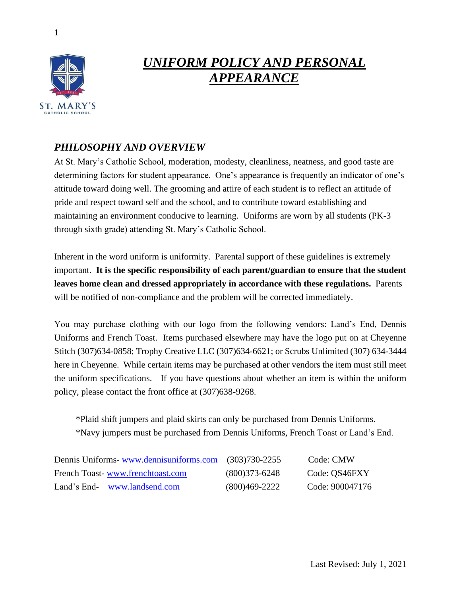



# *UNIFORM POLICY AND PERSONAL APPEARANCE*

### *PHILOSOPHY AND OVERVIEW*

At St. Mary's Catholic School, moderation, modesty, cleanliness, neatness, and good taste are determining factors for student appearance. One's appearance is frequently an indicator of one's attitude toward doing well. The grooming and attire of each student is to reflect an attitude of pride and respect toward self and the school, and to contribute toward establishing and maintaining an environment conducive to learning. Uniforms are worn by all students (PK-3 through sixth grade) attending St. Mary's Catholic School.

Inherent in the word uniform is uniformity. Parental support of these guidelines is extremely important. **It is the specific responsibility of each parent/guardian to ensure that the student leaves home clean and dressed appropriately in accordance with these regulations.** Parents will be notified of non-compliance and the problem will be corrected immediately.

You may purchase clothing with our logo from the following vendors: Land's End, Dennis Uniforms and French Toast. Items purchased elsewhere may have the logo put on at Cheyenne Stitch (307)634-0858; Trophy Creative LLC (307)634-6621; or Scrubs Unlimited (307) 634-3444 here in Cheyenne. While certain items may be purchased at other vendors the item must still meet the uniform specifications. If you have questions about whether an item is within the uniform policy, please contact the front office at (307)638-9268.

\*Plaid shift jumpers and plaid skirts can only be purchased from Dennis Uniforms. \*Navy jumpers must be purchased from Dennis Uniforms, French Toast or Land's End.

| Dennis Uniforms-www.dennisuniforms.com | $(303)730 - 2255$ | Code: CMW       |
|----------------------------------------|-------------------|-----------------|
| French Toast-www.frenchtoast.com       | $(800)373-6248$   | Code: QS46FXY   |
| Land's End- www.landsend.com           | $(800)469-2222$   | Code: 900047176 |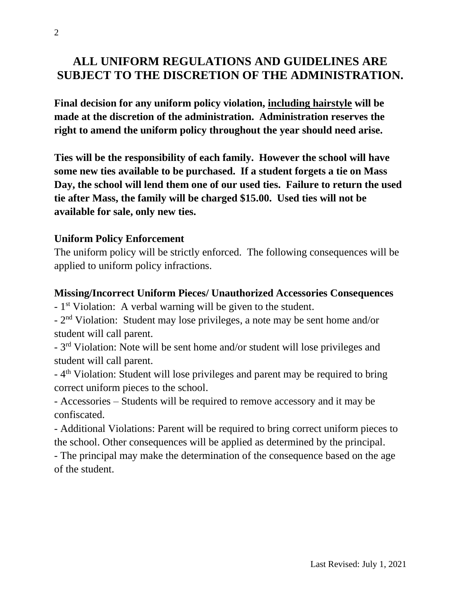## **ALL UNIFORM REGULATIONS AND GUIDELINES ARE SUBJECT TO THE DISCRETION OF THE ADMINISTRATION.**

**Final decision for any uniform policy violation, including hairstyle will be made at the discretion of the administration. Administration reserves the right to amend the uniform policy throughout the year should need arise.**

**Ties will be the responsibility of each family. However the school will have some new ties available to be purchased. If a student forgets a tie on Mass Day, the school will lend them one of our used ties. Failure to return the used tie after Mass, the family will be charged \$15.00. Used ties will not be available for sale, only new ties.**

#### **Uniform Policy Enforcement**

The uniform policy will be strictly enforced. The following consequences will be applied to uniform policy infractions.

#### **Missing/Incorrect Uniform Pieces/ Unauthorized Accessories Consequences**

- 1<sup>st</sup> Violation: A verbal warning will be given to the student.

- 2<sup>nd</sup> Violation: Student may lose privileges, a note may be sent home and/or student will call parent.

- 3<sup>rd</sup> Violation: Note will be sent home and/or student will lose privileges and student will call parent.

- 4<sup>th</sup> Violation: Student will lose privileges and parent may be required to bring correct uniform pieces to the school.

- Accessories – Students will be required to remove accessory and it may be confiscated.

- Additional Violations: Parent will be required to bring correct uniform pieces to the school. Other consequences will be applied as determined by the principal.

- The principal may make the determination of the consequence based on the age of the student.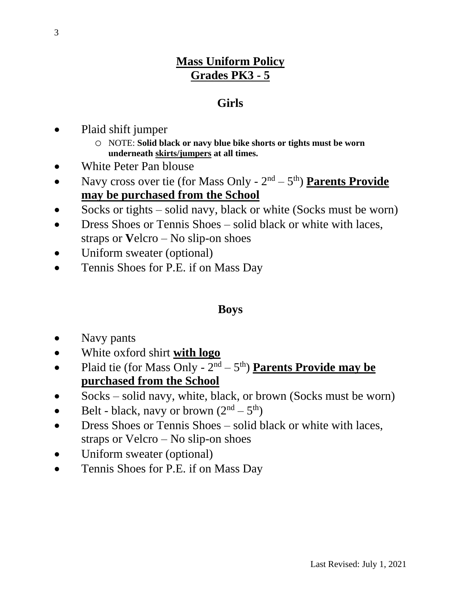## **Mass Uniform Policy Grades PK3 - 5**

## **Girls**

- Plaid shift jumper
	- o NOTE: **Solid black or navy blue bike shorts or tights must be worn underneath skirts/jumpers at all times.**
- White Peter Pan blouse
- Navy cross over tie (for Mass Only 2<sup>nd</sup> 5<sup>th</sup>) **Parents Provide may be purchased from the School**
- Socks or tights solid navy, black or white (Socks must be worn)
- Dress Shoes or Tennis Shoes solid black or white with laces, straps or **V**elcro – No slip-on shoes
- Uniform sweater (optional)
- Tennis Shoes for P.E. if on Mass Day

## **Boys**

- Navy pants
- White oxford shirt **with logo**
- Plaid tie (for Mass Only 2<sup>nd</sup> 5<sup>th</sup>) **Parents Provide may be purchased from the School**
- Socks solid navy, white, black, or brown (Socks must be worn)
- Belt black, navy or brown  $(2<sup>nd</sup> 5<sup>th</sup>)$
- Dress Shoes or Tennis Shoes solid black or white with laces, straps or Velcro – No slip-on shoes
- Uniform sweater (optional)
- Tennis Shoes for P.E. if on Mass Day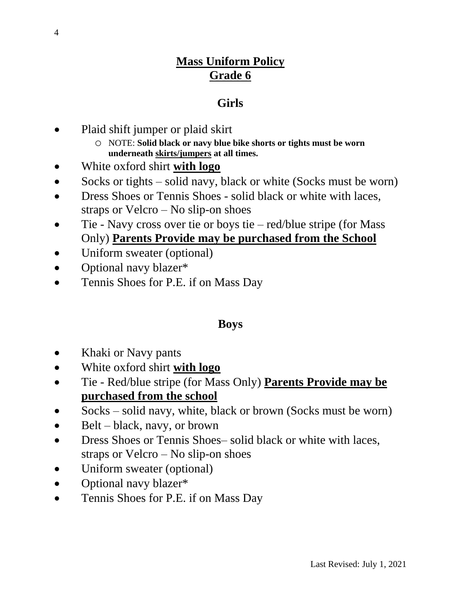## **Mass Uniform Policy Grade 6**

## **Girls**

- Plaid shift jumper or plaid skirt
	- o NOTE: **Solid black or navy blue bike shorts or tights must be worn underneath skirts/jumpers at all times.**
- White oxford shirt **with logo**
- Socks or tights solid navy, black or white (Socks must be worn)
- Dress Shoes or Tennis Shoes solid black or white with laces, straps or Velcro – No slip-on shoes
- Tie Navy cross over tie or boys tie red/blue stripe (for Mass Only) **Parents Provide may be purchased from the School**
- Uniform sweater (optional)
- Optional navy blazer\*
- Tennis Shoes for P.E. if on Mass Day

## **Boys**

- Khaki or Navy pants
- White oxford shirt **with logo**
- Tie Red/blue stripe (for Mass Only) **Parents Provide may be purchased from the school**
- Socks solid navy, white, black or brown (Socks must be worn)
- Belt black, navy, or brown
- Dress Shoes or Tennis Shoes– solid black or white with laces, straps or Velcro – No slip-on shoes
- Uniform sweater (optional)
- Optional navy blazer\*
- Tennis Shoes for P.E. if on Mass Day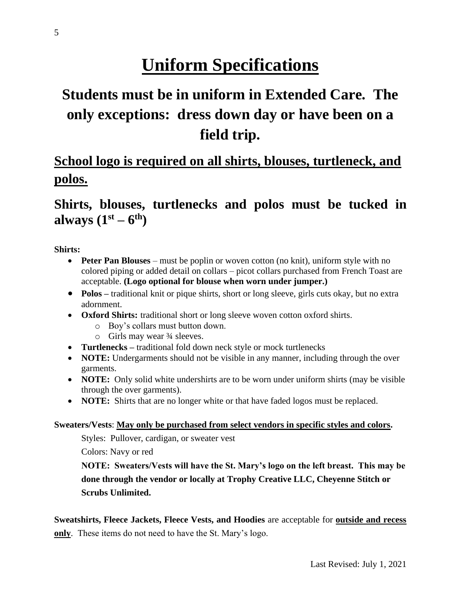# **Uniform Specifications**

# **Students must be in uniform in Extended Care. The only exceptions: dress down day or have been on a field trip.**

# **School logo is required on all shirts, blouses, turtleneck, and polos.**

## **Shirts, blouses, turtlenecks and polos must be tucked in always (1st – 6 th)**

**Shirts:**

- **Peter Pan Blouses** must be poplin or woven cotton (no knit), uniform style with no colored piping or added detail on collars – picot collars purchased from French Toast are acceptable. **(Logo optional for blouse when worn under jumper.)**
- **Polos** traditional knit or pique shirts, short or long sleeve, girls cuts okay, but no extra adornment.
- **Oxford Shirts:** traditional short or long sleeve woven cotton oxford shirts.
	- o Boy's collars must button down.
	- $\circ$  Girls may wear  $\frac{3}{4}$  sleeves.
- **Turtlenecks –** traditional fold down neck style or mock turtlenecks
- **NOTE:** Undergarments should not be visible in any manner, including through the over garments.
- **NOTE:** Only solid white undershirts are to be worn under uniform shirts (may be visible through the over garments).
- **NOTE:** Shirts that are no longer white or that have faded logos must be replaced.

#### **Sweaters/Vests**: **May only be purchased from select vendors in specific styles and colors.**

Styles: Pullover, cardigan, or sweater vest

Colors: Navy or red

**NOTE: Sweaters/Vests will have the St. Mary's logo on the left breast. This may be done through the vendor or locally at Trophy Creative LLC, Cheyenne Stitch or Scrubs Unlimited.**

**Sweatshirts, Fleece Jackets, Fleece Vests, and Hoodies** are acceptable for **outside and recess only**. These items do not need to have the St. Mary's logo.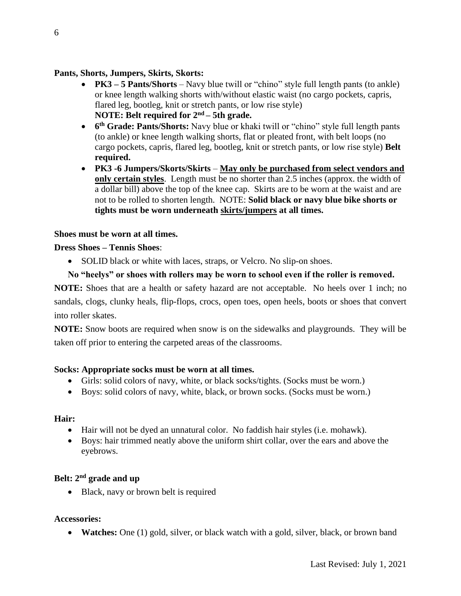#### **Pants, Shorts, Jumpers, Skirts, Skorts:**

- **PK3 5 Pants/Shorts** Navy blue twill or "chino" style full length pants (to ankle) or knee length walking shorts with/without elastic waist (no cargo pockets, capris, flared leg, bootleg, knit or stretch pants, or low rise style) **NOTE: Belt required for 2nd – 5th grade.**
- **6 th Grade: Pants/Shorts:** Navy blue or khaki twill or "chino" style full length pants (to ankle) or knee length walking shorts, flat or pleated front, with belt loops (no cargo pockets, capris, flared leg, bootleg, knit or stretch pants, or low rise style) **Belt required.**
- **PK3 -6 Jumpers/Skorts/Skirts May only be purchased from select vendors and only certain styles**. Length must be no shorter than 2.5 inches (approx. the width of a dollar bill) above the top of the knee cap. Skirts are to be worn at the waist and are not to be rolled to shorten length. NOTE: **Solid black or navy blue bike shorts or tights must be worn underneath skirts/jumpers at all times.**

#### **Shoes must be worn at all times.**

#### **Dress Shoes – Tennis Shoes**:

• SOLID black or white with laces, straps, or Velcro. No slip-on shoes.

#### **No "heelys" or shoes with rollers may be worn to school even if the roller is removed.**

**NOTE:** Shoes that are a health or safety hazard are not acceptable. No heels over 1 inch; no sandals, clogs, clunky heals, flip-flops, crocs, open toes, open heels, boots or shoes that convert into roller skates.

**NOTE:** Snow boots are required when snow is on the sidewalks and playgrounds. They will be taken off prior to entering the carpeted areas of the classrooms.

#### **Socks: Appropriate socks must be worn at all times.**

- Girls: solid colors of navy, white, or black socks/tights. (Socks must be worn.)
- Boys: solid colors of navy, white, black, or brown socks. (Socks must be worn.)

#### **Hair:**

- Hair will not be dyed an unnatural color. No faddish hair styles (i.e. mohawk).
- Boys: hair trimmed neatly above the uniform shirt collar, over the ears and above the eyebrows.

#### **Belt: 2nd grade and up**

• Black, navy or brown belt is required

#### **Accessories:**

• **Watches:** One (1) gold, silver, or black watch with a gold, silver, black, or brown band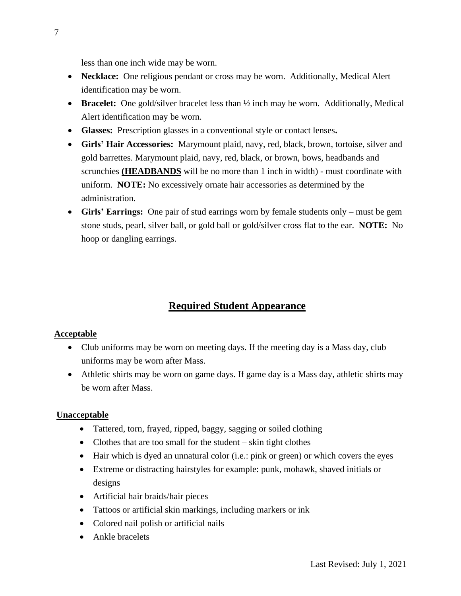less than one inch wide may be worn.

- **Necklace:** One religious pendant or cross may be worn. Additionally, Medical Alert identification may be worn.
- **Bracelet:** One gold/silver bracelet less than  $\frac{1}{2}$  inch may be worn. Additionally, Medical Alert identification may be worn.
- **Glasses:** Prescription glasses in a conventional style or contact lenses**.**
- **Girls' Hair Accessories:** Marymount plaid, navy, red, black, brown, tortoise, silver and gold barrettes. Marymount plaid, navy, red, black, or brown, bows, headbands and scrunchies **(HEADBANDS** will be no more than 1 inch in width) - must coordinate with uniform. **NOTE:** No excessively ornate hair accessories as determined by the administration.
- **Girls' Earrings:** One pair of stud earrings worn by female students only must be gem stone studs, pearl, silver ball, or gold ball or gold/silver cross flat to the ear. **NOTE:** No hoop or dangling earrings.

### **Required Student Appearance**

#### **Acceptable**

- Club uniforms may be worn on meeting days. If the meeting day is a Mass day, club uniforms may be worn after Mass.
- Athletic shirts may be worn on game days. If game day is a Mass day, athletic shirts may be worn after Mass.

#### **Unacceptable**

- Tattered, torn, frayed, ripped, baggy, sagging or soiled clothing
- Clothes that are too small for the student skin tight clothes
- Hair which is dyed an unnatural color (i.e.: pink or green) or which covers the eyes
- Extreme or distracting hairstyles for example: punk, mohawk, shaved initials or designs
- Artificial hair braids/hair pieces
- Tattoos or artificial skin markings, including markers or ink
- Colored nail polish or artificial nails
- Ankle bracelets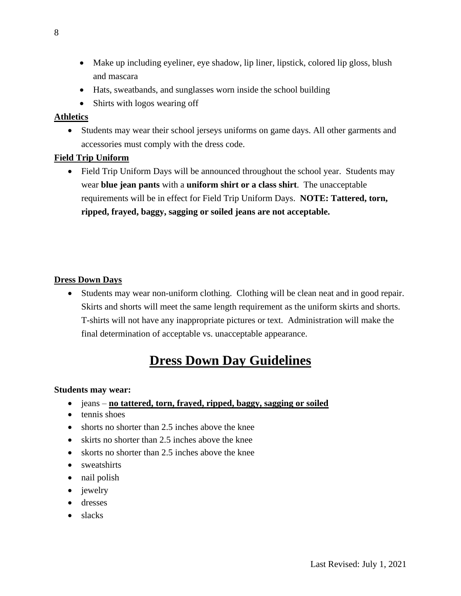- Make up including eyeliner, eye shadow, lip liner, lipstick, colored lip gloss, blush and mascara
- Hats, sweatbands, and sunglasses worn inside the school building
- Shirts with logos wearing off

#### **Athletics**

• Students may wear their school jerseys uniforms on game days. All other garments and accessories must comply with the dress code.

#### **Field Trip Uniform**

• Field Trip Uniform Days will be announced throughout the school year. Students may wear **blue jean pants** with a **uniform shirt or a class shirt**. The unacceptable requirements will be in effect for Field Trip Uniform Days. **NOTE: Tattered, torn, ripped, frayed, baggy, sagging or soiled jeans are not acceptable.**

#### **Dress Down Days**

• Students may wear non-uniform clothing. Clothing will be clean neat and in good repair. Skirts and shorts will meet the same length requirement as the uniform skirts and shorts. T-shirts will not have any inappropriate pictures or text. Administration will make the final determination of acceptable vs. unacceptable appearance.

# **Dress Down Day Guidelines**

#### **Students may wear:**

- jeans **no tattered, torn, frayed, ripped, baggy, sagging or soiled**
- tennis shoes
- shorts no shorter than 2.5 inches above the knee
- skirts no shorter than 2.5 inches above the knee
- skorts no shorter than 2.5 inches above the knee
- sweatshirts
- nail polish
- jewelry
- dresses
- slacks